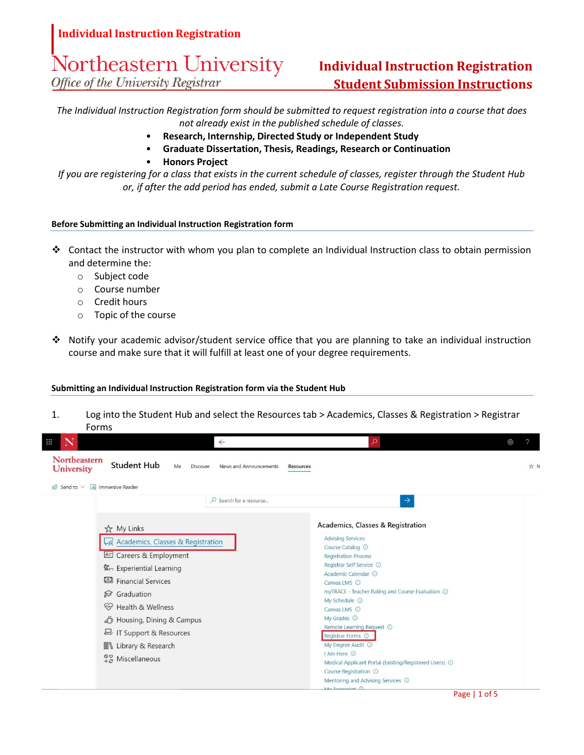# Northeastern University

Office of the University Registrar

# **Individual Instruction Registration Student Submission Instructions**

*The Individual Instruction Registration form should be submitted to request registration into a course that does not already exist in the published schedule of classes.*

- **Research, Internship, Directed Study or Independent Study**
- **Graduate Dissertation, Thesis, Readings, Research or Continuation**
- **Honors Project**

*If you are registering for a class that exists in the current schedule of classes, register through the Student Hub or, if after the add period has ended, submit a Late Course Registration request.*

### **Before Submitting an Individual Instruction Registration form**

- ❖ Contact the instructor with whom you plan to complete an Individual Instruction class to obtain permission and determine the:
	- o Subject code
	- o Course number
	- o Credit hours
	- o Topic of the course
- ❖ Notify your academic advisor/student service office that you are planning to take an individual instruction course and make sure that it will fulfill at least one of your degree requirements.

### **Submitting an Individual Instruction Registration form via the Student Hub**

1. Log into the Student Hub and select the Resources tab > Academics, Classes & Registration > Registrar Forms

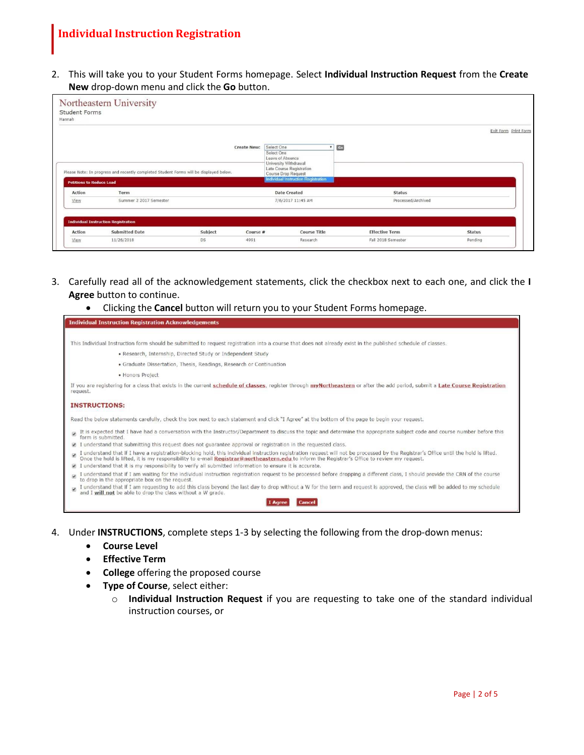2. This will take you to your Student Forms homepage. Select **Individual Instruction Request** from the **Create New** drop-down menu and click the **Go** button.

|                                 |                                                                                        |         |                    |                                                                          |                       | Exit Form Print Form |
|---------------------------------|----------------------------------------------------------------------------------------|---------|--------------------|--------------------------------------------------------------------------|-----------------------|----------------------|
|                                 |                                                                                        |         |                    |                                                                          |                       |                      |
|                                 |                                                                                        |         | <b>Create New:</b> | Select One                                                               | Go                    |                      |
|                                 |                                                                                        |         |                    | Select One<br>Leave of Absence                                           |                       |                      |
|                                 | Please Note: In progress and recently completed Student Forms will be displayed below. |         |                    | University Withdrawal<br>Late Course Registration<br>Course Drop Request |                       |                      |
| <b>Petitions to Reduce Load</b> |                                                                                        |         |                    | <b>Individual Instruction Registration</b>                               |                       |                      |
| <b>Action</b>                   | Term                                                                                   |         |                    | <b>Date Created</b>                                                      | <b>Status</b>         |                      |
| View                            | Summer 2 2017 Semester                                                                 |         |                    | 7/6/2017 11:45 AM                                                        | Processed/Archived    |                      |
|                                 |                                                                                        |         |                    |                                                                          |                       |                      |
|                                 |                                                                                        |         |                    |                                                                          |                       |                      |
|                                 | <b>Individual Instruction Registration</b>                                             |         |                    |                                                                          |                       |                      |
| Action                          | <b>Submitted Date</b>                                                                  | Subject | Course #           | <b>Course Title</b>                                                      | <b>Effective Term</b> | <b>Status</b>        |

- 3. Carefully read all of the acknowledgement statements, click the checkbox next to each one, and click the **I Agree** button to continue.
	- Clicking the **Cancel** button will return you to your Student Forms homepage.

| <b>Individual Instruction Registration Acknowledgements</b>                                                                                                                                                                                                  |
|--------------------------------------------------------------------------------------------------------------------------------------------------------------------------------------------------------------------------------------------------------------|
|                                                                                                                                                                                                                                                              |
| This Individual Instruction form should be submitted to request registration into a course that does not already exist in the published schedule of classes.                                                                                                 |
| · Research, Internship, Directed Study or Independent Study                                                                                                                                                                                                  |
| · Graduate Dissertation, Thesis, Readings, Research or Continuation                                                                                                                                                                                          |
| · Honors Project                                                                                                                                                                                                                                             |
| If you are registering for a class that exists in the current schedule of classes, register through my Northeastern or after the add period, submit a Late Course Registration<br>request.                                                                   |
| <b>INSTRUCTIONS:</b>                                                                                                                                                                                                                                         |
| Read the below statements carefully, check the box next to each statement and click "I Agree" at the bottom of the page to begin your request.                                                                                                               |
| It is expected that I have had a conversation with the Instructor/Department to discuss the topic and determine the appropriate subject code and course number before this<br>form is submitted.                                                             |
| understand that submitting this request does not guarantee approval or registration in the requested class.                                                                                                                                                  |
| I understand that if I have a registration-blocking hold, this individual instruction registration request will not be processed by the Registrar's Office until the hold is lifted.<br>Once the hold is lifted, it is my respons<br>$\overline{\mathbf{y}}$ |
| understand that it is my responsibility to verify all submitted information to ensure it is accurate.                                                                                                                                                        |
| I understand that if I am waiting for the individual instruction registration request to be processed before dropping a different class, I should provide the CRN of the course<br>to drop in the appropriate box on the request.                            |
| I understand that if I am requesting to add this class beyond the last day to drop without a W for the term and request is approved, the class will be added to my schedule<br>and I will not be able to drop the class without a W grade.                   |
| <b>Cancel</b><br>I Aaree                                                                                                                                                                                                                                     |

- 4. Under **INSTRUCTIONS**, complete steps 1-3 by selecting the following from the drop-down menus:
	- **Course Level**
	- **Effective Term**
	- **College** offering the proposed course
	- **Type of Course**, select either:
		- o **Individual Instruction Request** if you are requesting to take one of the standard individual instruction courses, or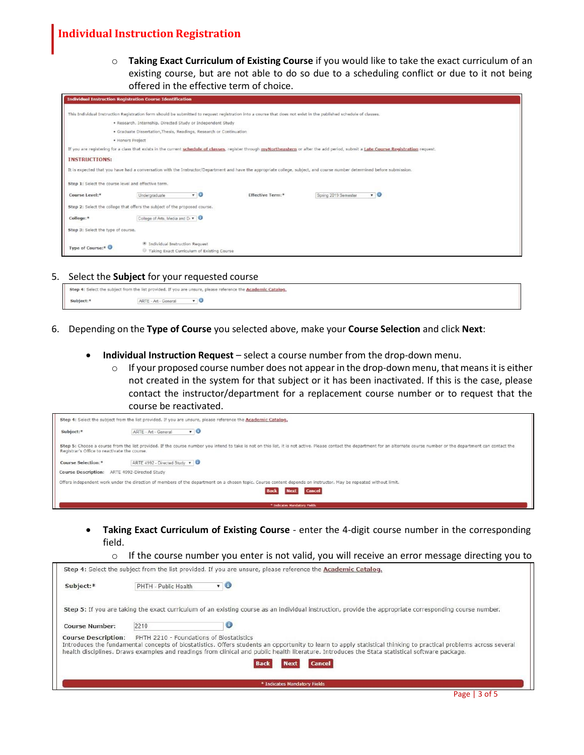o **Taking Exact Curriculum of Existing Course** if you would like to take the exact curriculum of an existing course, but are not able to do so due to a scheduling conflict or due to it not being offered in the effective term of choice.

|                                                     | <b>Individual Instruction Registration Course Identification</b>                                                                                                  |                         |                                                                                                                                                                                        |  |  |  |  |  |
|-----------------------------------------------------|-------------------------------------------------------------------------------------------------------------------------------------------------------------------|-------------------------|----------------------------------------------------------------------------------------------------------------------------------------------------------------------------------------|--|--|--|--|--|
|                                                     | This Individual Instruction Registration form should be submitted to request registration into a course that does not exist in the published schedule of classes. |                         |                                                                                                                                                                                        |  |  |  |  |  |
|                                                     | . Research, Internship, Directed Study or Independent Study                                                                                                       |                         |                                                                                                                                                                                        |  |  |  |  |  |
|                                                     | · Graduate Dissertation, Thesis, Readings, Research or Continuation                                                                                               |                         |                                                                                                                                                                                        |  |  |  |  |  |
|                                                     |                                                                                                                                                                   |                         |                                                                                                                                                                                        |  |  |  |  |  |
|                                                     | · Honors Project                                                                                                                                                  |                         |                                                                                                                                                                                        |  |  |  |  |  |
|                                                     |                                                                                                                                                                   |                         | If you are registering for a class that exists in the current schedule of classes, register through myNortheastern or after the add period, submit a Late Course Registration request. |  |  |  |  |  |
| <b>INSTRUCTIONS:</b>                                |                                                                                                                                                                   |                         |                                                                                                                                                                                        |  |  |  |  |  |
|                                                     |                                                                                                                                                                   |                         | It is expected that you have had a conversation with the Instructor/Department and have the appropriate college, subject, and course number determined before submission.              |  |  |  |  |  |
| Step 1: Select the course level and effective term. |                                                                                                                                                                   |                         |                                                                                                                                                                                        |  |  |  |  |  |
| Course Level:*                                      | .0<br>Undergraduate                                                                                                                                               | <b>Effective Term:*</b> | $r$ 0<br>Spring 2019 Semester                                                                                                                                                          |  |  |  |  |  |
|                                                     | Step 2: Select the college that offers the subject of the proposed course.                                                                                        |                         |                                                                                                                                                                                        |  |  |  |  |  |
| College:*                                           | College of Arts, Media and Di v   0                                                                                                                               |                         |                                                                                                                                                                                        |  |  |  |  |  |
| Step 3: Select the type of course.                  |                                                                                                                                                                   |                         |                                                                                                                                                                                        |  |  |  |  |  |
| Type of Course:*                                    | <sup>®</sup> Individual Instruction Request                                                                                                                       |                         |                                                                                                                                                                                        |  |  |  |  |  |
|                                                     | Taking Exact Curriculum of Existing Course                                                                                                                        |                         |                                                                                                                                                                                        |  |  |  |  |  |

5. Select the **Subject** for your requested course

|        | Step 4: Select the subject from the list provided. If you are unsure, please reference the <b>Academic Catalog</b> ,<br><u>. The contract of the contract of the contract of the contract of the contract of the contract of the contract of the contract of the contract of the contract of the contract of the contract of the contract of the contrac</u> |  |
|--------|--------------------------------------------------------------------------------------------------------------------------------------------------------------------------------------------------------------------------------------------------------------------------------------------------------------------------------------------------------------|--|
| ubject | t - Gener                                                                                                                                                                                                                                                                                                                                                    |  |

- 6. Depending on the **Type of Course** you selected above, make your **Course Selection** and click **Next**:
	- **Individual Instruction Request** select a course number from the drop-down menu.
		- $\circ$  If your proposed course number does not appear in the drop-down menu, that means it is either not created in the system for that subject or it has been inactivated. If this is the case, please contact the instructor/department for a replacement course number or to request that the course be reactivated.

|                            | Step 4: Select the subject from the list provided. If you are unsure, please reference the Academic Catalog,                                                                                                                                                                  |  |  |  |  |  |  |
|----------------------------|-------------------------------------------------------------------------------------------------------------------------------------------------------------------------------------------------------------------------------------------------------------------------------|--|--|--|--|--|--|
| Subject:*                  | $\mathbf{v}$ 0<br>ARTE - Art - General                                                                                                                                                                                                                                        |  |  |  |  |  |  |
|                            | Step 5: Choose a course from the list provided. If the course number you intend to take is not on this list, it is not active. Please contact the department for an alternate course number or the department can contact the<br>Registrar's Office to reactivate the course. |  |  |  |  |  |  |
| <b>Course Selection:*</b>  | ARTE 4992 - Directed Study v                                                                                                                                                                                                                                                  |  |  |  |  |  |  |
| <b>Course Description:</b> | ARTE 4992-Directed Study                                                                                                                                                                                                                                                      |  |  |  |  |  |  |
|                            | Offers independent work under the direction of members of the department on a chosen topic. Course content depends on instructor. May be repeated without limit.                                                                                                              |  |  |  |  |  |  |
|                            | <b>Cancel</b><br>Next                                                                                                                                                                                                                                                         |  |  |  |  |  |  |
|                            | * Indicates Mandatory Fields                                                                                                                                                                                                                                                  |  |  |  |  |  |  |

- **Taking Exact Curriculum of Existing Course** enter the 4-digit course number in the corresponding field.
	- $\circ$  If the course number you enter is not valid, you will receive an error message directing you to

|                            |                                          | Step 4: Select the subject from the list provided. If you are unsure, please reference the Academic Catalog.                                                                                                                                                                                                       |
|----------------------------|------------------------------------------|--------------------------------------------------------------------------------------------------------------------------------------------------------------------------------------------------------------------------------------------------------------------------------------------------------------------|
| Subject:*                  | PHTH - Public Health                     | $\mathbf{v}$ 0                                                                                                                                                                                                                                                                                                     |
|                            |                                          | Step 5: If you are taking the exact curriculum of an existing course as an individual instruction, provide the appropriate corresponding course number.                                                                                                                                                            |
| <b>Course Number:</b>      | 2210                                     |                                                                                                                                                                                                                                                                                                                    |
| <b>Course Description:</b> | PHTH 2210 - Foundations of Biostatistics | Introduces the fundamental concepts of biostatistics. Offers students an opportunity to learn to apply statistical thinking to practical problems across several<br>health disciplines. Draws examples and readings from clinical and public health literature. Introduces the Stata statistical software package. |
|                            |                                          | <b>Cancel</b><br><b>Next</b><br><b>Back</b>                                                                                                                                                                                                                                                                        |
|                            |                                          | * Indicates Mandatory Fields                                                                                                                                                                                                                                                                                       |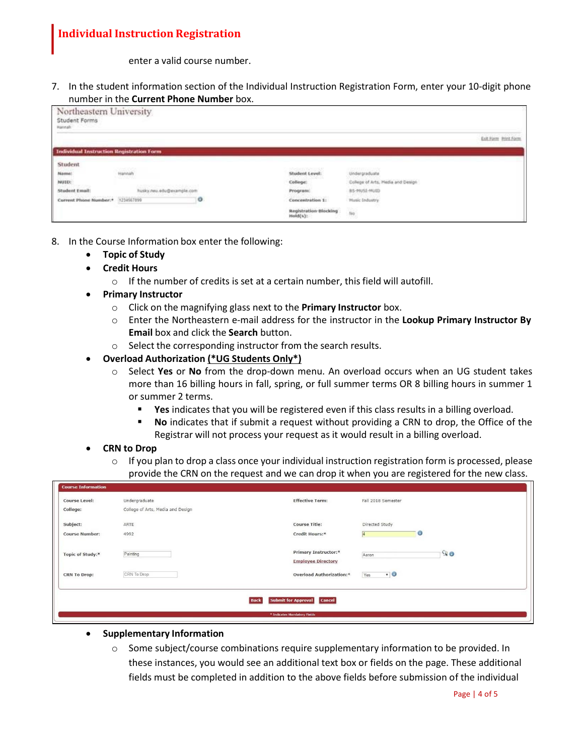enter a valid course number.

7. In the student information section of the Individual Instruction Registration Form, enter your 10-digit phone number in the **Current Phone Number** box.

| Northeastern University<br>Student Forms<br>Hannah |                    |   |                                          |                                   |                      |
|----------------------------------------------------|--------------------|---|------------------------------------------|-----------------------------------|----------------------|
|                                                    |                    |   |                                          |                                   | Exit Form Print Form |
| <b>Individual Instruction Registration Form</b>    |                    |   |                                          |                                   |                      |
| Student                                            |                    |   | <b>NORTHAMMADOOR</b>                     | <b>MARKET BANKLEY</b>             |                      |
| Name:                                              | Hannah             |   | Student Level:                           | Undergraduate                     |                      |
| NUID:                                              |                    |   | <b>CONTRACTOR</b><br>College:            | College of Arts, Hedia and Design |                      |
| Student Email:                                     | eu.edu@example.com |   | Program:                                 | BS-MUSI-MUID                      |                      |
| Current Phone Number:* 1234567899                  |                    | o | Concentration 1:                         | <b>Music Industry</b>             |                      |
|                                                    |                    |   | <b>Registration Blocking</b><br>Hold(s): | $t\bar{t}\sigma$                  |                      |

- 8. In the Course Information box enter the following:
	- **Topic of Study**
	- **Credit Hours**
		- o If the number of credits is set at a certain number, this field will autofill.
	- **Primary Instructor**
		- o Click on the magnifying glass next to the **Primary Instructor** box.
		- o Enter the Northeastern e-mail address for the instructor in the **Lookup Primary Instructor By Email** box and click the **Search** button.
		- o Select the corresponding instructor from the search results.
	- **Overload Authorization (\*UG Students Only\*)**
		- o Select **Yes** or **No** from the drop-down menu. An overload occurs when an UG student takes more than 16 billing hours in fall, spring, or full summer terms OR 8 billing hours in summer 1 or summer 2 terms.
			- **Yes** indicates that you will be registered even if this class results in a billing overload.
			- **No** indicates that if submit a request without providing a CRN to drop, the Office of the Registrar will not process your request as it would result in a billing overload.

### • **CRN to Drop**

 $\circ$  If you plan to drop a class once your individual instruction registration form is processed, please provide the CRN on the request and we can drop it when you are registered for the new class.

| <b>Course Information</b> |                                   |                                 |                    |    |
|---------------------------|-----------------------------------|---------------------------------|--------------------|----|
| <b>Course Level:</b>      | Undergraduate                     | <b>Effective Term:</b>          | Fall 2018 Semester |    |
| College:                  | College of Arts, Media and Design |                                 |                    |    |
| Subject:                  | ARTE                              | <b>Course Title:</b>            | Directed Study     |    |
| <b>Course Number:</b>     | 4992                              | Credit Hours:*                  | $\circledcirc$     |    |
| Topic of Study:*          | Painting                          | Primary Instructor:*            | Aaron              | 90 |
|                           |                                   | <b>Employee Directory</b>       |                    |    |
| <b>CRN To Drop:</b>       | CRN To Drop                       | <b>Overload Authorization:*</b> | $\cdot$ 0<br>Yes   |    |

### • **Supplementary Information**

 $\circ$  Some subject/course combinations require supplementary information to be provided. In these instances, you would see an additional text box or fields on the page. These additional fields must be completed in addition to the above fields before submission of the individual